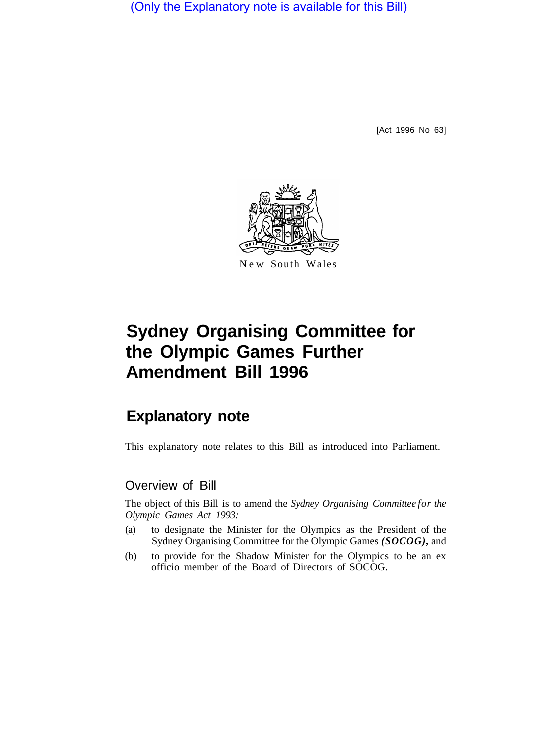(Only the Explanatory note is available for this Bill)

[Act 1996 No 63]



# **Sydney Organising Committee for the Olympic Games Further Amendment Bill 1996**

## **Explanatory note**

This explanatory note relates to this Bill as introduced into Parliament.

#### Overview of Bill

The object of this Bill is to amend the *Sydney Organising Committee for the Olympic Games Act 1993:* 

- (a) to designate the Minister for the Olympics as the President of the Sydney Organising Committee for the Olympic Games *(SOCOG),* and
- (b) to provide for the Shadow Minister for the Olympics to be an ex officio member of the Board of Directors of SOCOG.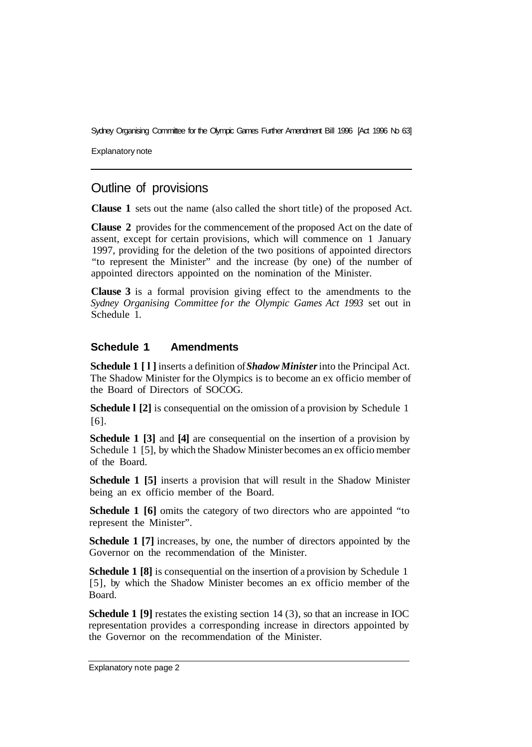Sydney Organising Committee for the Olympic Games Further Amendment Bill 1996 [Act 1996 No 63]

Explanatory note

### Outline of provisions

**Clause 1** sets out the name (also called the short title) of the proposed Act.

**Clause 2** provides for the commencement of the proposed Act on the date of assent, except for certain provisions, which will commence on 1 January 1997, providing for the deletion of the two positions of appointed directors "to represent the Minister" and the increase (by one) of the number of appointed directors appointed on the nomination of the Minister.

**Clause 3** is a formal provision giving effect to the amendments to the *Sydney Organising Committee for the Olympic Games Act 1993* set out in Schedule 1.

#### **Schedule 1 Amendments**

**Schedule 1 [l]** inserts a definition of *Shadow Minister* into the Principal Act. The Shadow Minister for the Olympics is to become an ex officio member of the Board of Directors of SOCOG.

**Schedule I** [2] is consequential on the omission of a provision by Schedule 1 [6].

**Schedule 1 [3]** and **[4]** are consequential on the insertion of a provision by Schedule 1 [5], by which the Shadow Minister becomes an ex officio member of the Board.

**Schedule 1 [5]** inserts a provision that will result in the Shadow Minister being an ex officio member of the Board.

**Schedule 1 [6]** omits the category of two directors who are appointed "to represent the Minister".

**Schedule 1 [7]** increases, by one, the number of directors appointed by the Governor on the recommendation of the Minister.

**Schedule 1 [8]** is consequential on the insertion of a provision by Schedule 1 [5], by which the Shadow Minister becomes an ex officio member of the Board.

**Schedule 1 [9]** restates the existing section 14 (3), so that an increase in IOC representation provides a corresponding increase in directors appointed by the Governor on the recommendation of the Minister.